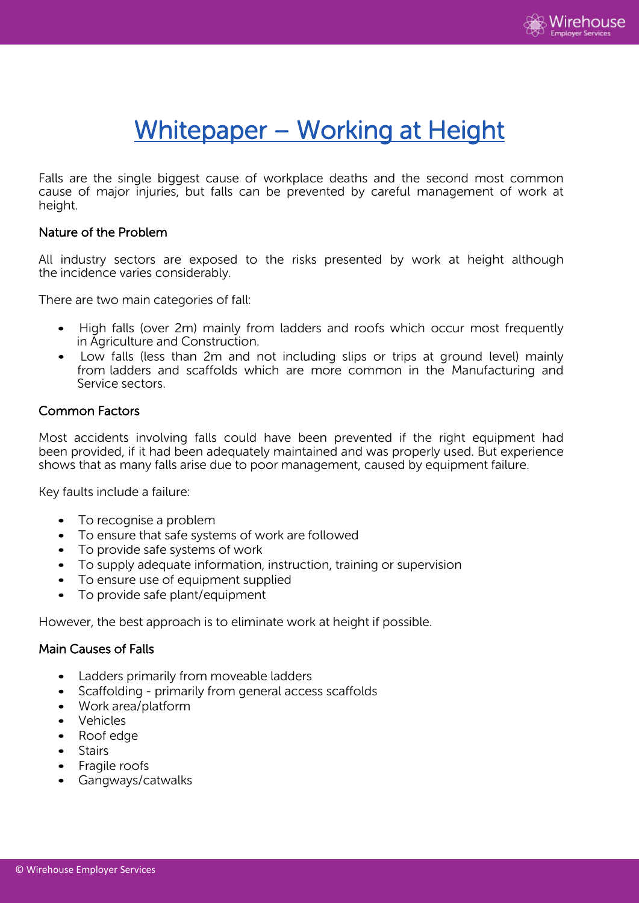

# Whitepaper – Working at Height

Falls are the single biggest cause of workplace deaths and the second most common cause of major injuries, but falls can be prevented by careful management of work at height.

### Nature of the Problem

All industry sectors are exposed to the risks presented by work at height although the incidence varies considerably.

There are two main categories of fall:

- High falls (over 2m) mainly from ladders and roofs which occur most frequently in Agriculture and Construction.
- Low falls (less than 2m and not including slips or trips at ground level) mainly from ladders and scaffolds which are more common in the Manufacturing and Service sectors.

## Common Factors

Most accidents involving falls could have been prevented if the right equipment had been provided, if it had been adequately maintained and was properly used. But experience shows that as many falls arise due to poor management, caused by equipment failure.

Key faults include a failure:

- To recognise a problem
- To ensure that safe systems of work are followed
- To provide safe systems of work
- To supply adequate information, instruction, training or supervision
- To ensure use of equipment supplied
- To provide safe plant/equipment

However, the best approach is to eliminate work at height if possible.

#### Main Causes of Falls

- Ladders primarily from moveable ladders
- Scaffolding primarily from general access scaffolds
- Work area/platform
- Vehicles
- Roof edge
- Stairs
- Fragile roofs
- Gangways/catwalks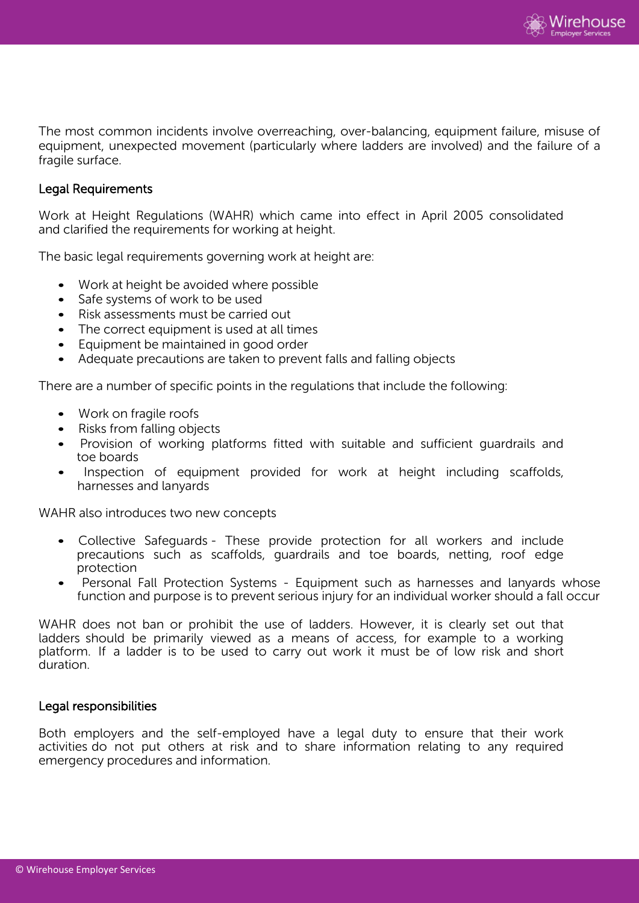

The most common incidents involve overreaching, over-balancing, equipment failure, misuse of equipment, unexpected movement (particularly where ladders are involved) and the failure of a fragile surface.

## Legal Requirements

Work at Height Regulations (WAHR) which came into effect in April 2005 consolidated and clarified the requirements for working at height.

The basic legal requirements governing work at height are:

- Work at height be avoided where possible
- Safe systems of work to be used
- Risk assessments must be carried out
- The correct equipment is used at all times
- Equipment be maintained in good order
- Adequate precautions are taken to prevent falls and falling objects

There are a number of specific points in the regulations that include the following:

- Work on fragile roofs
- Risks from falling objects
- Provision of working platforms fitted with suitable and sufficient guardrails and toe boards
- Inspection of equipment provided for work at height including scaffolds, harnesses and lanyards

WAHR also introduces two new concepts

- Collective Safeguards These provide protection for all workers and include precautions such as scaffolds, guardrails and toe boards, netting, roof edge protection
- Personal Fall Protection Systems Equipment such as harnesses and lanyards whose function and purpose is to prevent serious injury for an individual worker should a fall occur

WAHR does not ban or prohibit the use of ladders. However, it is clearly set out that ladders should be primarily viewed as a means of access, for example to a working platform. If a ladder is to be used to carry out work it must be of low risk and short duration.

#### Legal responsibilities

Both employers and the self-employed have a legal duty to ensure that their work activities do not put others at risk and to share information relating to any required emergency procedures and information.